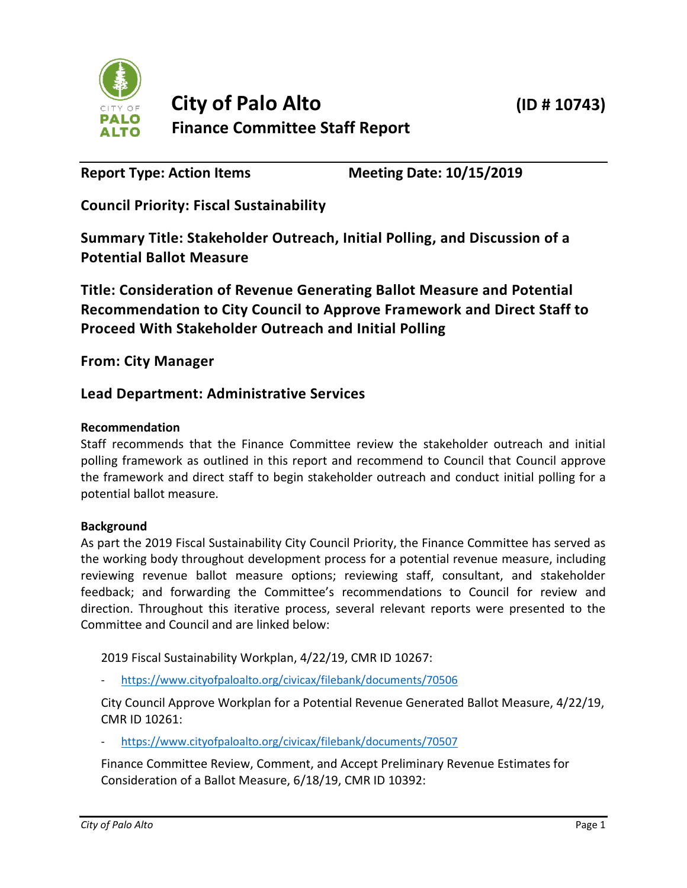

**Report Type: Action Items Meeting Date: 10/15/2019**

**Council Priority: Fiscal Sustainability**

**Summary Title: Stakeholder Outreach, Initial Polling, and Discussion of a Potential Ballot Measure**

**Title: Consideration of Revenue Generating Ballot Measure and Potential Recommendation to City Council to Approve Framework and Direct Staff to Proceed With Stakeholder Outreach and Initial Polling**

**From: City Manager**

# **Lead Department: Administrative Services**

### **Recommendation**

Staff recommends that the Finance Committee review the stakeholder outreach and initial polling framework as outlined in this report and recommend to Council that Council approve the framework and direct staff to begin stakeholder outreach and conduct initial polling for a potential ballot measure.

#### **Background**

As part the 2019 Fiscal Sustainability City Council Priority, the Finance Committee has served as the working body throughout development process for a potential revenue measure, including reviewing revenue ballot measure options; reviewing staff, consultant, and stakeholder feedback; and forwarding the Committee's recommendations to Council for review and direction. Throughout this iterative process, several relevant reports were presented to the Committee and Council and are linked below:

2019 Fiscal Sustainability Workplan, 4/22/19, CMR ID 10267:

- <https://www.cityofpaloalto.org/civicax/filebank/documents/70506>

City Council Approve Workplan for a Potential Revenue Generated Ballot Measure, 4/22/19, CMR ID 10261:

- <https://www.cityofpaloalto.org/civicax/filebank/documents/70507>

Finance Committee Review, Comment, and Accept Preliminary Revenue Estimates for Consideration of a Ballot Measure, 6/18/19, CMR ID 10392: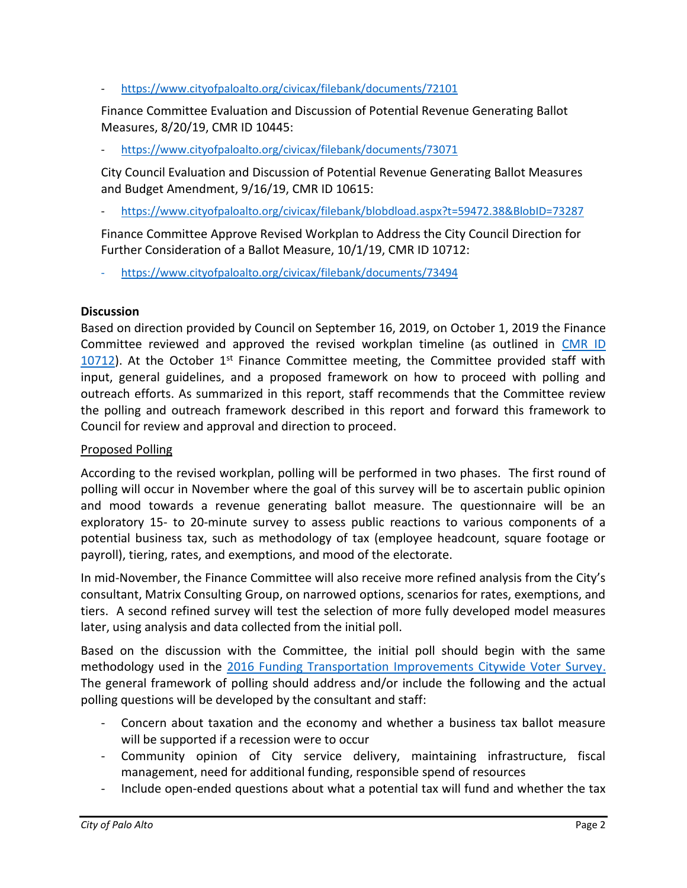- <https://www.cityofpaloalto.org/civicax/filebank/documents/72101>

Finance Committee Evaluation and Discussion of Potential Revenue Generating Ballot Measures, 8/20/19, CMR ID 10445:

- <https://www.cityofpaloalto.org/civicax/filebank/documents/73071>

City Council Evaluation and Discussion of Potential Revenue Generating Ballot Measures and Budget Amendment, 9/16/19, CMR ID 10615:

- <https://www.cityofpaloalto.org/civicax/filebank/blobdload.aspx?t=59472.38&BlobID=73287>

Finance Committee Approve Revised Workplan to Address the City Council Direction for Further Consideration of a Ballot Measure, 10/1/19, CMR ID 10712:

- <https://www.cityofpaloalto.org/civicax/filebank/documents/73494>

### **Discussion**

Based on direction provided by Council on September 16, 2019, on October 1, 2019 the Finance Committee reviewed and approved the revised workplan timeline (as outlined in [CMR ID](https://www.cityofpaloalto.org/civicax/filebank/documents/73494)   $10712$ ). At the October 1<sup>st</sup> Finance Committee meeting, the Committee provided staff with input, general guidelines, and a proposed framework on how to proceed with polling and outreach efforts. As summarized in this report, staff recommends that the Committee review the polling and outreach framework described in this report and forward this framework to Council for review and approval and direction to proceed.

## Proposed Polling

According to the revised workplan, polling will be performed in two phases. The first round of polling will occur in November where the goal of this survey will be to ascertain public opinion and mood towards a revenue generating ballot measure. The questionnaire will be an exploratory 15- to 20-minute survey to assess public reactions to various components of a potential business tax, such as methodology of tax (employee headcount, square footage or payroll), tiering, rates, and exemptions, and mood of the electorate.

In mid-November, the Finance Committee will also receive more refined analysis from the City's consultant, Matrix Consulting Group, on narrowed options, scenarios for rates, exemptions, and tiers. A second refined survey will test the selection of more fully developed model measures later, using analysis and data collected from the initial poll.

Based on the discussion with the Committee, the initial poll should begin with the same methodology used in the [2016 Funding Transportation Improvements Citywide Voter Survey.](https://www.cityofpaloalto.org/civicax/filebank/documents/53000) The general framework of polling should address and/or include the following and the actual polling questions will be developed by the consultant and staff:

- Concern about taxation and the economy and whether a business tax ballot measure will be supported if a recession were to occur
- Community opinion of City service delivery, maintaining infrastructure, fiscal management, need for additional funding, responsible spend of resources
- Include open-ended questions about what a potential tax will fund and whether the tax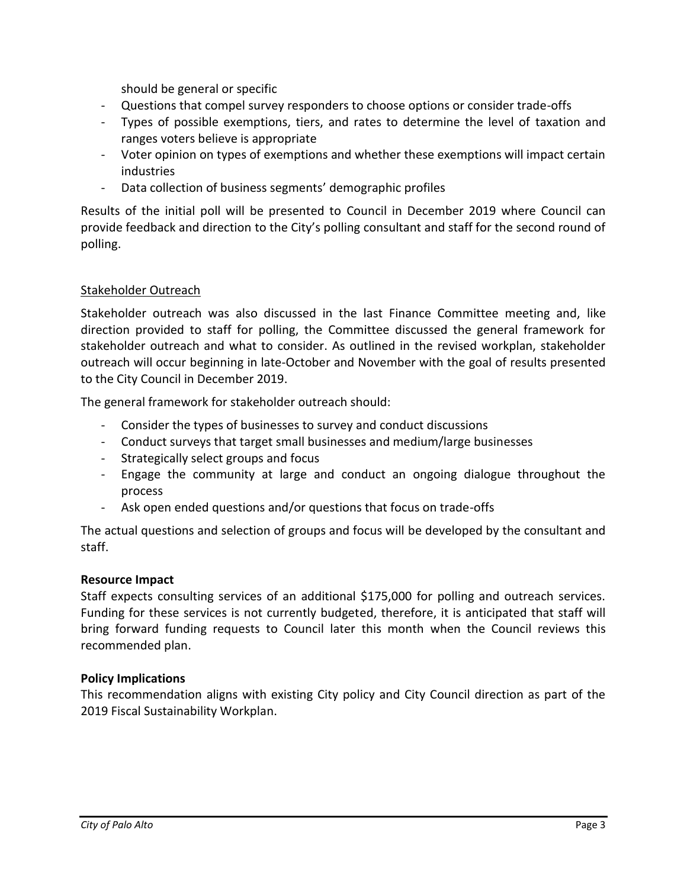should be general or specific

- Questions that compel survey responders to choose options or consider trade-offs
- Types of possible exemptions, tiers, and rates to determine the level of taxation and ranges voters believe is appropriate
- Voter opinion on types of exemptions and whether these exemptions will impact certain industries
- Data collection of business segments' demographic profiles

Results of the initial poll will be presented to Council in December 2019 where Council can provide feedback and direction to the City's polling consultant and staff for the second round of polling.

### Stakeholder Outreach

Stakeholder outreach was also discussed in the last Finance Committee meeting and, like direction provided to staff for polling, the Committee discussed the general framework for stakeholder outreach and what to consider. As outlined in the revised workplan, stakeholder outreach will occur beginning in late-October and November with the goal of results presented to the City Council in December 2019.

The general framework for stakeholder outreach should:

- Consider the types of businesses to survey and conduct discussions
- Conduct surveys that target small businesses and medium/large businesses
- Strategically select groups and focus
- Engage the community at large and conduct an ongoing dialogue throughout the process
- Ask open ended questions and/or questions that focus on trade-offs

The actual questions and selection of groups and focus will be developed by the consultant and staff.

#### **Resource Impact**

Staff expects consulting services of an additional \$175,000 for polling and outreach services. Funding for these services is not currently budgeted, therefore, it is anticipated that staff will bring forward funding requests to Council later this month when the Council reviews this recommended plan.

## **Policy Implications**

This recommendation aligns with existing City policy and City Council direction as part of the 2019 Fiscal Sustainability Workplan.